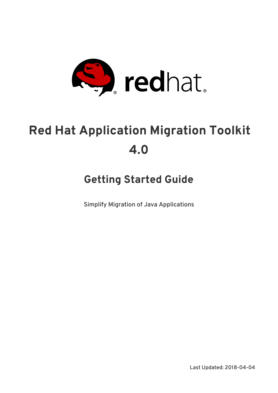

# **Red Hat Application Migration Toolkit 4.0**

## **Getting Started Guide**

Simplify Migration of Java Applications

Last Updated: 2018-04-04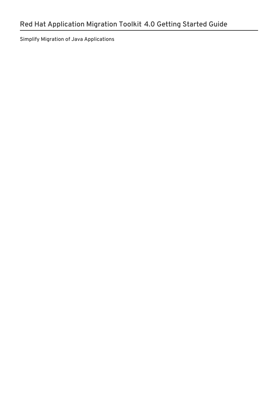Simplify Migration of Java Applications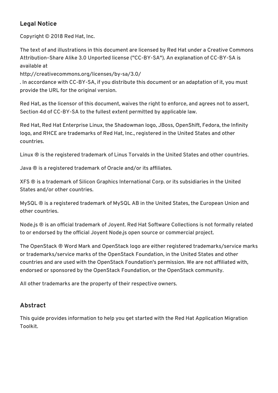### **Legal Notice**

Copyright © 2018 Red Hat, Inc.

The text of and illustrations in this document are licensed by Red Hat under a Creative Commons Attribution–Share Alike 3.0 Unported license ("CC-BY-SA"). An explanation of CC-BY-SA is available at

http://creativecommons.org/licenses/by-sa/3.0/

. In accordance with CC-BY-SA, if you distribute this document or an adaptation of it, you must provide the URL for the original version.

Red Hat, as the licensor of this document, waives the right to enforce, and agrees not to assert, Section 4d of CC-BY-SA to the fullest extent permitted by applicable law.

Red Hat, Red Hat Enterprise Linux, the Shadowman logo, JBoss, OpenShift, Fedora, the Infinity logo, and RHCE are trademarks of Red Hat, Inc., registered in the United States and other countries.

Linux ® is the registered trademark of Linus Torvalds in the United States and other countries.

Java ® is a registered trademark of Oracle and/or its affiliates.

XFS ® is a trademark of Silicon Graphics International Corp. or its subsidiaries in the United States and/or other countries.

MySQL ® is a registered trademark of MySQL AB in the United States, the European Union and other countries.

Node.js ® is an official trademark of Joyent. Red Hat Software Collections is not formally related to or endorsed by the official Joyent Node.js open source or commercial project.

The OpenStack ® Word Mark and OpenStack logo are either registered trademarks/service marks or trademarks/service marks of the OpenStack Foundation, in the United States and other countries and are used with the OpenStack Foundation's permission. We are not affiliated with, endorsed or sponsored by the OpenStack Foundation, or the OpenStack community.

All other trademarks are the property of their respective owners.

### **Abstract**

This guide provides information to help you get started with the Red Hat Application Migration Toolkit.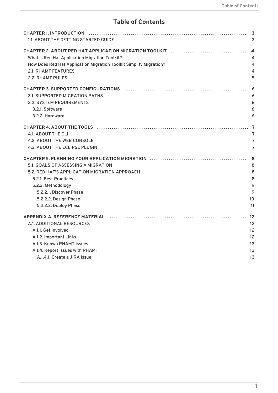### **Table of Contents**

| 1.1. ABOUT THE GETTING STARTED GUIDE                                                                           |                 |
|----------------------------------------------------------------------------------------------------------------|-----------------|
|                                                                                                                |                 |
| What is Red Hat Application Migration Toolkit?                                                                 |                 |
| How Does Red Hat Application Migration Toolkit Simplify Migration?                                             |                 |
| <b>2.1. RHAMT FEATURES</b>                                                                                     |                 |
| 2.2. RHAMT RULES                                                                                               |                 |
| CHAPTER 3. SUPPORTED CONFIGURATIONS (and the contract of the contract of the contract of the contract of the c |                 |
| 3.1. SUPPORTED MIGRATION PATHS                                                                                 |                 |
| 3.2. SYSTEM REQUIREMENTS                                                                                       |                 |
| 3.2.1. Software                                                                                                |                 |
| 3.2.2. Hardware                                                                                                |                 |
|                                                                                                                |                 |
| 4.1. ABOUT THE CLI                                                                                             |                 |
| 4.2. ABOUT THE WEB CONSOLE                                                                                     |                 |
| 4.3. ABOUT THE ECLIPSE PLUGIN                                                                                  |                 |
|                                                                                                                | -8              |
| 5.1. GOALS OF ASSESSING A MIGRATION                                                                            |                 |
| 5.2. RED HAT'S APPLICATION MIGRATION APPROACH                                                                  |                 |
| 5.2.1. Best Practices                                                                                          |                 |
| 5.2.2. Methodology                                                                                             |                 |
| 5.2.2.1. Discover Phase                                                                                        |                 |
| 5.2.2.2. Design Phase                                                                                          |                 |
| 5.2.2.3. Deploy Phase                                                                                          | 11              |
|                                                                                                                |                 |
| A.1. ADDITIONAL RESOURCES                                                                                      | 12 <sup>2</sup> |
| A.1.1. Get Involved                                                                                            | 12              |
| A.1.2. Important Links                                                                                         |                 |
| A.1.3. Known RHAMT Issues                                                                                      | 13              |
| A.1.4. Report Issues with RHAMT                                                                                | 13              |
| A.1.4.1. Create a JIRA Issue                                                                                   | 13              |
|                                                                                                                |                 |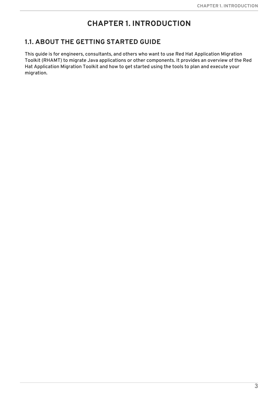### **CHAPTER 1. INTRODUCTION**

### <span id="page-6-1"></span><span id="page-6-0"></span>**1.1. ABOUT THE GETTING STARTED GUIDE**

This guide is for engineers, consultants, and others who want to use Red Hat Application Migration Toolkit (RHAMT) to migrate Java applications or other components. It provides an overview of the Red Hat Application Migration Toolkit and how to get started using the tools to plan and execute your migration.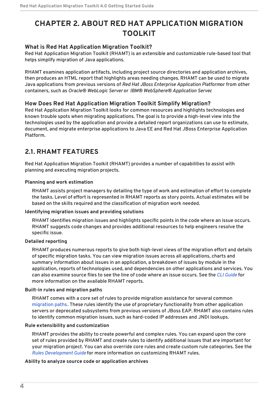### <span id="page-7-0"></span>**CHAPTER 2. ABOUT RED HAT APPLICATION MIGRATION TOOLKIT**

### <span id="page-7-1"></span>**What is Red Hat Application Migration Toolkit?**

Red Hat Application Migration Toolkit (RHAMT) is an extensible and customizable rule-based tool that helps simplify migration of Java applications.

RHAMT examines application artifacts, including project source directories and application archives, then produces an HTML report that highlights areas needing changes. RHAMT can be used to migrate Java applications from previous versions of *Red Hat JBoss Enterprise Application Platform*or from other containers, such as *Oracle® WebLogic Server* or *IBM® WebSphere® Application Server*.

### <span id="page-7-2"></span>**How Does Red Hat Application Migration Toolkit Simplify Migration?**

Red Hat Application Migration Toolkit looks for common resources and highlights technologies and known trouble spots when migrating applications. The goal is to provide a high-level view into the technologies used by the application and provide a detailed report organizations can use to estimate, document, and migrate enterprise applications to Java EE and Red Hat JBoss Enterprise Application Platform.

### <span id="page-7-3"></span>**2.1. RHAMT FEATURES**

Red Hat Application Migration Toolkit (RHAMT) provides a number of capabilities to assist with planning and executing migration projects.

### **Planning and work estimation**

RHAMT assists project managers by detailing the type of work and estimation of effort to complete the tasks. Level of effort is represented in RHAMT reports as story points. Actual estimates will be based on the skills required and the classification of migration work needed.

#### **Identifying migration issues and providing solutions**

RHAMT identifies migration issues and highlights specific points in the code where an issue occurs. RHAMT suggests code changes and provides additional resources to help engineers resolve the specific issue.

#### **Detailed reporting**

RHAMT produces numerous reports to give both high-level views of the migration effort and details of specific migration tasks. You can view migration issues across all applications, charts and summary information about issues in an application, a breakdown of issues by module in the application, reports of technologies used, and dependencies on other applications and services. You can also examine source files to see the line of code where an issue occurs. See the *CLI [Guide](https://access.redhat.com/documentation/en-us/red_hat_application_migration_toolkit/4.0/html-single/cli_guide)* for more information on the available RHAMT reports.

#### **Built-in rules and migration paths**

RHAMT comes with a core set of rules to provide migration assistance for several common [migration](#page-9-1) paths. These rules identify the use of proprietary functionality from other application servers or deprecated subsystems from previous versions of JBoss EAP. RHAMT also contains rules to identify common migration issues, such as hard-coded IP addresses and JNDI lookups.

#### **Rule extensibility and customization**

RHAMT provides the ability to create powerful and complex rules. You can expand upon the core set of rules provided by RHAMT and create rules to identify additional issues that are important for your migration project. You can also override core rules and create custom rule categories. See the *Rules [Development](https://access.redhat.com/documentation/en-us/red_hat_application_migration_toolkit/4.0/html-single/rules_development_guide) Guide* for more information on customizing RHAMT rules.

#### **Ability to analyze source code or application archives**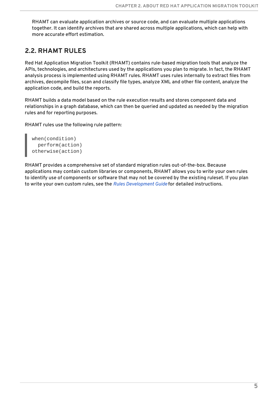RHAMT can evaluate application archives or source code, and can evaluate multiple applications together. It can identify archives that are shared across multiple applications, which can help with more accurate effort estimation.

### <span id="page-8-0"></span>**2.2. RHAMT RULES**

Red Hat Application Migration Toolkit (RHAMT) contains rule-based migration tools that analyze the APIs, technologies, and architectures used by the applications you plan to migrate. In fact, the RHAMT analysis process is implemented using RHAMT rules. RHAMT uses rules internally to extract files from archives, decompile files, scan and classify file types, analyze XML and other file content, analyze the application code, and build the reports.

RHAMT builds a data model based on the rule execution results and stores component data and relationships in a graph database, which can then be queried and updated as needed by the migration rules and for reporting purposes.

RHAMT rules use the following rule pattern:

```
when(condition)
  perform(action)
otherwise(action)
```
RHAMT provides a comprehensive set of standard migration rules out-of-the-box. Because applications may contain custom libraries or components, RHAMT allows you to write your own rules to identify use of components or software that may not be covered by the existing ruleset. If you plan to write your own custom rules, see the *Rules [Development](https://access.redhat.com/documentation/en-us/red_hat_application_migration_toolkit/4.0/html-single/rules_development_guide) Guide* for detailed instructions.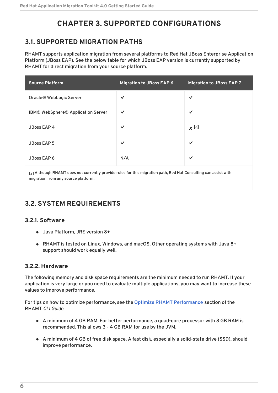### **CHAPTER 3. SUPPORTED CONFIGURATIONS**

### <span id="page-9-1"></span><span id="page-9-0"></span>**3.1. SUPPORTED MIGRATION PATHS**

RHAMT supports application migration from several platforms to Red Hat JBoss Enterprise Application Platform (JBoss EAP). See the below table for which JBoss EAP version is currently supported by RHAMT for direct migration from your source platform.

| <b>Source Platform</b>             | <b>Migration to JBoss EAP 6</b> | <b>Migration to JBoss EAP 7</b> |
|------------------------------------|---------------------------------|---------------------------------|
| Oracle® WebLogic Server            | $\checkmark$                    | $\checkmark$                    |
| IBM® WebSphere® Application Server | $\checkmark$                    | $\checkmark$                    |
| JBoss EAP 4                        | $\checkmark$                    | $x$ [a]                         |
| <b>JBoss EAP 5</b>                 | $\checkmark$                    | $\checkmark$                    |
| <b>JBoss EAP 6</b>                 | N/A                             | $\checkmark$                    |
|                                    |                                 |                                 |

<span id="page-9-6"></span><span id="page-9-5"></span>[\[a\]](#page-9-6) Although RHAMT does not currently provide rules for this migration path, Red Hat Consulting can assist with migration from any source platform.

### <span id="page-9-2"></span>**3.2. SYSTEM REQUIREMENTS**

### <span id="page-9-3"></span>**3.2.1. Software**

- Java Platform, JRE version 8+
- RHAMT is tested on Linux, Windows, and macOS. Other operating systems with Java 8+ support should work equally well.

### <span id="page-9-4"></span>**3.2.2. Hardware**

The following memory and disk space requirements are the minimum needed to run RHAMT. If your application is very large or you need to evaluate multiple applications, you may want to increase these values to improve performance.

For tips on how to optimize performance, see the Optimize RHAMT [Performance](https://access.redhat.com/documentation/en-us/red_hat_application_migration_toolkit/4.0/html-single/cli_guide#optimize_performance) section of the RHAMT *CLI Guide*.

- A minimum of 4 GB RAM. For better performance, a quad-core processor with 8 GB RAM is recommended. This allows 3 - 4 GB RAM for use by the JVM.
- A minimum of 4 GB of free disk space. A fast disk, especially a solid-state drive (SSD), should improve performance.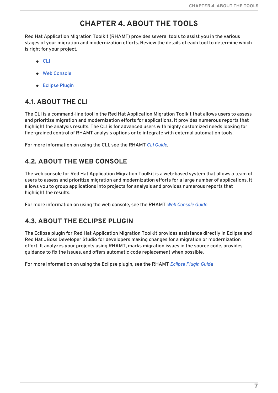### **CHAPTER 4. ABOUT THE TOOLS**

<span id="page-10-0"></span>Red Hat Application Migration Toolkit (RHAMT) provides several tools to assist you in the various stages of your migration and modernization efforts. Review the details of each tool to determine which is right for your project.

- [CLI](#page-10-1)
- Web [Console](#page-10-2)
- **•** [Eclipse](#page-10-3) Plugin

### <span id="page-10-1"></span>**4.1. ABOUT THE CLI**

The CLI is a command-line tool in the Red Hat Application Migration Toolkit that allows users to assess and prioritize migration and modernization efforts for applications. It provides numerous reports that highlight the analysis results. The CLI is for advanced users with highly customized needs looking for fine-grained control of RHAMT analysis options or to integrate with external automation tools.

For more information on using the CLI, see the RHAMT *CLI [Guide](https://access.redhat.com/documentation/en-us/red_hat_application_migration_toolkit/4.0/html-single/cli_guide)*.

### <span id="page-10-2"></span>**4.2. ABOUT THE WEB CONSOLE**

The web console for Red Hat Application Migration Toolkit is a web-based system that allows a team of users to assess and prioritize migration and modernization efforts for a large number of applications. It allows you to group applications into projects for analysis and provides numerous reports that highlight the results.

For more information on using the web console, see the RHAMT *Web [Console](https://access.redhat.com/documentation/en-us/red_hat_application_migration_toolkit/4.0/html-single/web_console_guide) Guide*.

### <span id="page-10-3"></span>**4.3. ABOUT THE ECLIPSE PLUGIN**

The Eclipse plugin for Red Hat Application Migration Toolkit provides assistance directly in Eclipse and Red Hat JBoss Developer Studio for developers making changes for a migration or modernization effort. It analyzes your projects using RHAMT, marks migration issues in the source code, provides guidance to fix the issues, and offers automatic code replacement when possible.

For more information on using the Eclipse plugin, see the RHAMT *[Eclipse](https://access.redhat.com/documentation/en-us/red_hat_application_migration_toolkit/4.0/html-single/eclipse_plugin_guide) Plugin Guide*.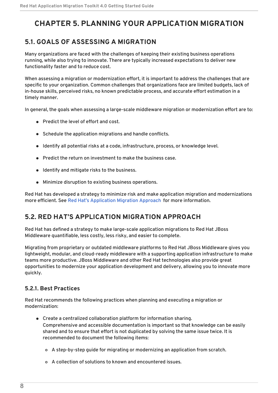### <span id="page-11-0"></span>**CHAPTER 5. PLANNING YOUR APPLICATION MIGRATION**

### <span id="page-11-1"></span>**5.1. GOALS OF ASSESSING A MIGRATION**

Many organizations are faced with the challenges of keeping their existing business operations running, while also trying to innovate. There are typically increased expectations to deliver new functionality faster and to reduce cost.

When assessing a migration or modernization effort, it is important to address the challenges that are specific to your organization. Common challenges that organizations face are limited budgets, lack of in-house skills, perceived risks, no known predictable process, and accurate effort estimation in a timely manner.

In general, the goals when assessing a large-scale middleware migration or modernization effort are to:

- Predict the level of effort and cost.
- Schedule the application migrations and handle conflicts.
- $\bullet$  Identify all potential risks at a code, infrastructure, process, or knowledge level.
- **•** Predict the return on investment to make the business case.
- Identify and mitigate risks to the business.
- Minimize disruption to existing business operations.

Red Hat has developed a strategy to minimize risk and make application migration and modernizations more efficient. See Red Hat's [Application](#page-12-2) Migration Approach for more information.

### <span id="page-11-2"></span>**5.2. RED HAT'S APPLICATION MIGRATION APPROACH**

Red Hat has defined a strategy to make large-scale application migrations to Red Hat JBoss Middleware quantifiable, less costly, less risky, and easier to complete.

Migrating from proprietary or outdated middleware platforms to Red Hat JBoss Middleware gives you lightweight, modular, and cloud-ready middleware with a supporting application infrastructure to make teams more productive. JBoss Middleware and other Red Hat technologies also provide great opportunities to modernize your application development and delivery, allowing you to innovate more quickly.

### <span id="page-11-3"></span>**5.2.1. Best Practices**

Red Hat recommends the following practices when planning and executing a migration or modernization:

- Create a centralized collaboration platform for information sharing. Comprehensive and accessible documentation is important so that knowledge can be easily shared and to ensure that effort is not duplicated by solving the same issue twice. It is recommended to document the following items:
	- A step-by-step guide for migrating or modernizing an application from scratch.
	- A collection of solutions to known and encountered issues.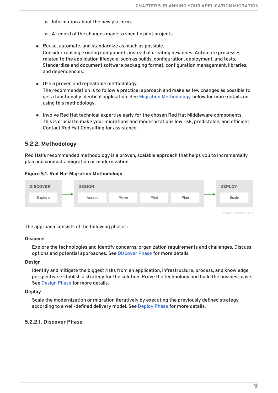- <span id="page-12-2"></span>o Information about the new platform.
- A record of the changes made to specific pilot projects.
- Reuse, automate, and standardize as much as possible. Consider reusing existing components instead of creating new ones. Automate processes related to the application lifecycle, such as builds, configuration, deployment, and tests. Standardize and document software packaging format, configuration management, libraries, and dependencies.
- Use a proven and repeatable methodology. The recommendation is to follow a practical approach and make as few changes as possible to get a functionally identical application. See Migration [Methodology](#page-13-1) below for more details on using this methodology.
- Involve Red Hat technical expertise early for the chosen Red Hat Middleware components. This is crucial to make your migrations and modernizations low risk, predictable, and efficient. Contact Red Hat Consulting for assistance.

#### <span id="page-12-0"></span>**5.2.2. Methodology**

Red Hat's recommended methodology is a proven, scalable approach that helps you to incrementally plan and conduct a migration or modernization.

#### **Figure 5.1. Red Hat Migration Methodology**



The approach consists of the following phases:

#### **Discover**

Explore the technologies and identify concerns, organization requirements and challenges. Discuss options and potential approaches. See [Discover](#page-13-2) Phase for more details.

#### **Design**

Identify and mitigate the biggest risks from an application, infrastructure, process, and knowledge perspective. Establish a strategy for the solution. Prove the technology and build the business case. See [Design](#page-13-0) Phase for more details.

#### **Deploy**

Scale the modernization or migration iteratively by executing the previously defined strategy according to a well-defined delivery model. See [Deploy](#page-14-0) Phase for more details.

#### <span id="page-12-1"></span>**5.2.2.1. Discover Phase**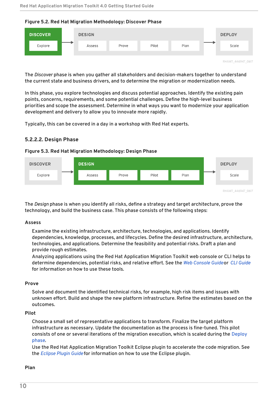

<span id="page-13-2"></span><span id="page-13-1"></span>**Figure 5.2. Red Hat Migration Methodology: Discover Phase**

The *Discover* phase is when you gather all stakeholders and decision-makers together to understand the current state and business drivers, and to determine the migration or modernization needs.

In this phase, you explore technologies and discuss potential approaches. Identify the existing pain points, concerns, requirements, and some potential challenges. Define the high-level business priorities and scope the assessment. Determine in what ways you want to modernize your application development and delivery to allow you to innovate more rapidly.

Typically, this can be covered in a day in a workshop with Red Hat experts.

### <span id="page-13-0"></span>**5.2.2.2. Design Phase**

#### **Figure 5.3. Red Hat Migration Methodology: Design Phase**



The *Design* phase is when you identify all risks, define a strategy and target architecture, prove the technology, and build the business case. This phase consists of the following steps:

#### **Assess**

Examine the existing infrastructure, architecture, technologies, and applications. Identify dependencies, knowledge, processes, and lifecycles. Define the desired infrastructure, architecture, technologies, and applications. Determine the feasibility and potential risks. Draft a plan and provide rough estimates.

Analyzing applications using the Red Hat Application Migration Toolkit web console or CLI helps to determine dependencies, potential risks, and relative effort. See the *Web [Console](https://access.redhat.com/documentation/en-us/red_hat_application_migration_toolkit/4.0/html-single/web_console_guide) Guide*or *CLI [Guide](https://access.redhat.com/documentation/en-us/red_hat_application_migration_toolkit/4.0/html-single/cli_guide)* for information on how to use these tools.

#### **Prove**

Solve and document the identified technical risks, for example, high risk items and issues with unknown effort. Build and shape the new platform infrastructure. Refine the estimates based on the outcomes.

#### **Pilot**

Choose a small set of representative applications to transform. Finalize the target platform infrastructure as necessary. Update the documentation as the process is fine-tuned. This pilot consists of one or several iterations of the migration [execution,](#page-14-0) which is scaled during the Deploy phase.

Use the Red Hat Application Migration Toolkit Eclipse plugin to accelerate the code migration. See the *[Eclipse](https://access.redhat.com/documentation/en-us/red_hat_application_migration_toolkit/4.0/html-single/eclipse_plugin_guide) Plugin Guide* for information on how to use the Eclipse plugin.

#### **Plan**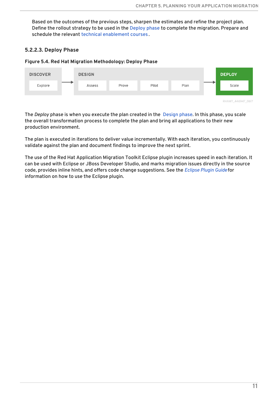Based on the outcomes of the previous steps, sharpen the estimates and refine the project plan. Define the rollout strategy to be used in the [Deploy](#page-14-0) phase to complete the migration. Prepare and schedule the relevant technical [enablement](https://www.redhat.com/en/services/training) courses .

### <span id="page-14-0"></span>**5.2.2.3. Deploy Phase**

#### **Figure 5.4. Red Hat Migration Methodology: Deploy Phase**



The *Deploy* phase is when you execute the plan created in the [Design](#page-13-0) phase. In this phase, you scale the overall transformation process to complete the plan and bring all applications to their new production environment.

The plan is executed in iterations to deliver value incrementally. With each iteration, you continuously validate against the plan and document findings to improve the next sprint.

The use of the Red Hat Application Migration Toolkit Eclipse plugin increases speed in each iteration. It can be used with Eclipse or JBoss Developer Studio, and marks migration issues directly in the source code, provides inline hints, and offers code change suggestions. See the *[Eclipse](https://access.redhat.com/documentation/en-us/red_hat_application_migration_toolkit/4.0/html-single/eclipse_plugin_guide) Plugin Guide* for information on how to use the Eclipse plugin.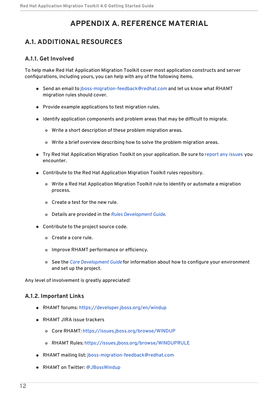### **APPENDIX A. REFERENCE MATERIAL**

### <span id="page-15-1"></span><span id="page-15-0"></span>**A.1. ADDITIONAL RESOURCES**

### <span id="page-15-2"></span>**A.1.1. Get Involved**

To help make Red Hat Application Migration Toolkit cover most application constructs and server configurations, including yours, you can help with any of the following items.

- Send an email to [jboss-migration-feedback@redhat.com](mailto:jboss-migration-feedback@redhat.com) and let us know what RHAMT migration rules should cover.
- Provide example applications to test migration rules.
- Identify application components and problem areas that may be difficult to migrate.
	- Write a short description of these problem migration areas.
	- Write a brief overview describing how to solve the problem migration areas.
- Try Red Hat Application Migration Toolkit on your application. Be sure to [report](#page-16-1) any issues you encounter.
- Contribute to the Red Hat Application Migration Toolkit rules repository.
	- Write a Red Hat Application Migration Toolkit rule to identify or automate a migration process.
	- Create a test for the new rule.
	- Details are provided in the *Rules [Development](https://access.redhat.com/documentation/en-us/red_hat_application_migration_toolkit/4.0/html-single/rules_development_guide) Guide*.
- Contribute to the project source code.
	- Create a core rule.
	- Improve RHAMT performance or efficiency.
	- See the *Core [Development](https://github.com/windup/windup/wiki/Core-Development-Guide) Guide* for information about how to configure your environment and set up the project.

Any level of involvement is greatly appreciated!

### <span id="page-15-3"></span>**A.1.2. Important Links**

- RHAMT forums: <https://developer.jboss.org/en/windup>
- RHAMT JIRA issue trackers
	- Core RHAMT: <https://issues.jboss.org/browse/WINDUP>
	- RHAMT Rules: <https://issues.jboss.org/browse/WINDUPRULE>
- RHAMT mailing list: [jboss-migration-feedback@redhat.com](mailto:jboss-migration-feedback@redhat.com)
- RHAMT on Twitter: [@JBossWindup](https://twitter.com/jbosswindup)